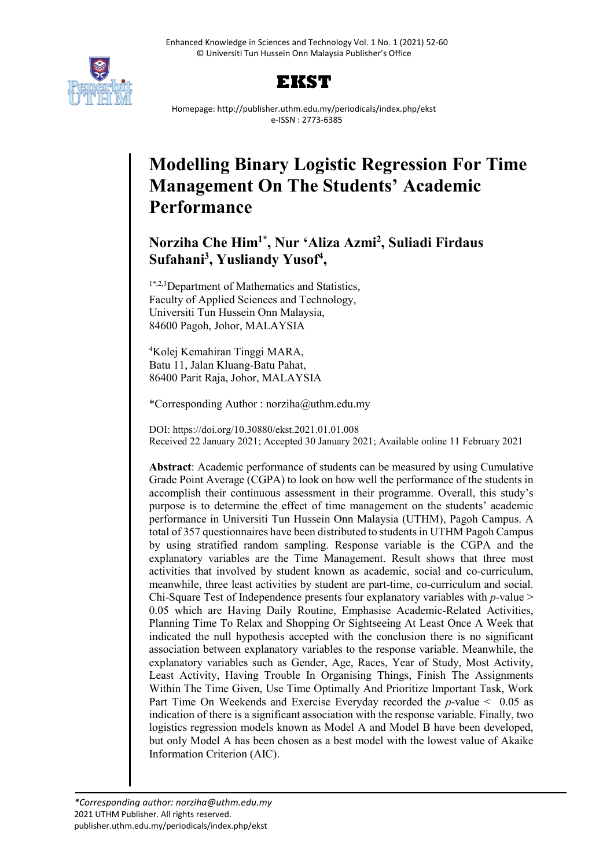



Homepage: http://publisher.uthm.edu.my/periodicals/index.php/ekst e-ISSN : 2773-6385

# **Modelling Binary Logistic Regression For Time Management On The Students' Academic Performance**

# **Norziha Che Him1\* , Nur 'Aliza Azmi2 , Suliadi Firdaus**  Sufahani<sup>3</sup>, Yusliandy Yusof<sup>4</sup>,

1\*,2,3Department of Mathematics and Statistics, Faculty of Applied Sciences and Technology, Universiti Tun Hussein Onn Malaysia, 84600 Pagoh, Johor, MALAYSIA

4 Kolej Kemahiran Tinggi MARA, Batu 11, Jalan Kluang-Batu Pahat, 86400 Parit Raja, Johor, MALAYSIA

\*Corresponding Author : norziha@uthm.edu.my

DOI: https://doi.org/10.30880/ekst.2021.01.01.008 Received 22 January 2021; Accepted 30 January 2021; Available online 11 February 2021

**Abstract**: Academic performance of students can be measured by using Cumulative Grade Point Average (CGPA) to look on how well the performance of the students in accomplish their continuous assessment in their programme. Overall, this study's purpose is to determine the effect of time management on the students' academic performance in Universiti Tun Hussein Onn Malaysia (UTHM), Pagoh Campus. A total of 357 questionnaires have been distributed to students in UTHM Pagoh Campus by using stratified random sampling. Response variable is the CGPA and the explanatory variables are the Time Management. Result shows that three most activities that involved by student known as academic, social and co-curriculum, meanwhile, three least activities by student are part-time, co-curriculum and social. Chi-Square Test of Independence presents four explanatory variables with *p*-value > 0.05 which are Having Daily Routine, Emphasise Academic-Related Activities, Planning Time To Relax and Shopping Or Sightseeing At Least Once A Week that indicated the null hypothesis accepted with the conclusion there is no significant association between explanatory variables to the response variable. Meanwhile, the explanatory variables such as Gender, Age, Races, Year of Study, Most Activity, Least Activity, Having Trouble In Organising Things, Finish The Assignments Within The Time Given, Use Time Optimally And Prioritize Important Task, Work Part Time On Weekends and Exercise Everyday recorded the *p*-value < 0.05 as indication of there is a significant association with the response variable. Finally, two logistics regression models known as Model A and Model B have been developed, but only Model A has been chosen as a best model with the lowest value of Akaike Information Criterion (AIC).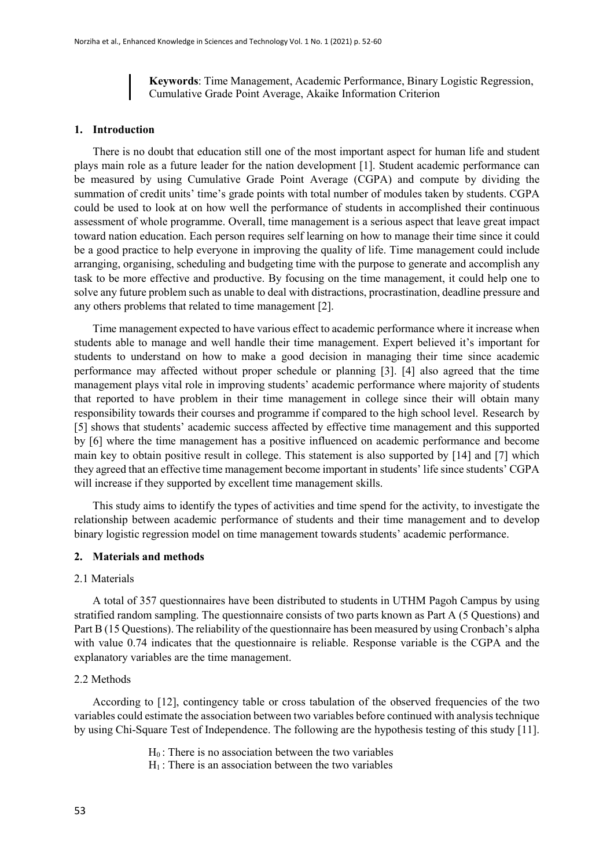**Keywords**: Time Management, Academic Performance, Binary Logistic Regression, Cumulative Grade Point Average, Akaike Information Criterion

#### **1. Introduction**

There is no doubt that education still one of the most important aspect for human life and student plays main role as a future leader for the nation development [1]. Student academic performance can be measured by using Cumulative Grade Point Average (CGPA) and compute by dividing the summation of credit units' time's grade points with total number of modules taken by students. CGPA could be used to look at on how well the performance of students in accomplished their continuous assessment of whole programme. Overall, time management is a serious aspect that leave great impact toward nation education. Each person requires self learning on how to manage their time since it could be a good practice to help everyone in improving the quality of life. Time management could include arranging, organising, scheduling and budgeting time with the purpose to generate and accomplish any task to be more effective and productive. By focusing on the time management, it could help one to solve any future problem such as unable to deal with distractions, procrastination, deadline pressure and any others problems that related to time management [2].

Time management expected to have various effect to academic performance where it increase when students able to manage and well handle their time management. Expert believed it's important for students to understand on how to make a good decision in managing their time since academic performance may affected without proper schedule or planning [3]. [4] also agreed that the time management plays vital role in improving students' academic performance where majority of students that reported to have problem in their time management in college since their will obtain many responsibility towards their courses and programme if compared to the high school level. Research by [5] shows that students' academic success affected by effective time management and this supported by [6] where the time management has a positive influenced on academic performance and become main key to obtain positive result in college. This statement is also supported by [14] and [7] which they agreed that an effective time management become important in students' life since students' CGPA will increase if they supported by excellent time management skills.

This study aims to identify the types of activities and time spend for the activity, to investigate the relationship between academic performance of students and their time management and to develop binary logistic regression model on time management towards students' academic performance.

#### **2. Materials and methods**

#### 2.1 Materials

A total of 357 questionnaires have been distributed to students in UTHM Pagoh Campus by using stratified random sampling. The questionnaire consists of two parts known as Part A (5 Questions) and Part B (15 Questions). The reliability of the questionnaire has been measured by using Cronbach's alpha with value 0.74 indicates that the questionnaire is reliable. Response variable is the CGPA and the explanatory variables are the time management.

#### 2.2 Methods

According to [12], contingency table or cross tabulation of the observed frequencies of the two variables could estimate the association between two variables before continued with analysis technique by using Chi-Square Test of Independence. The following are the hypothesis testing of this study [11].

> $H_0$ : There is no association between the two variables  $H_1$ : There is an association between the two variables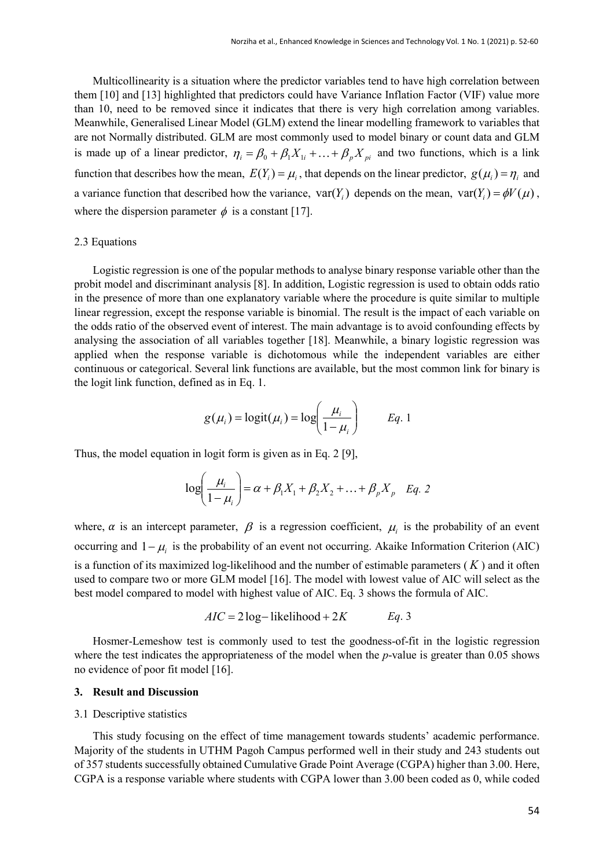Multicollinearity is a situation where the predictor variables tend to have high correlation between them [10] and [13] highlighted that predictors could have Variance Inflation Factor (VIF) value more than 10, need to be removed since it indicates that there is very high correlation among variables. Meanwhile, Generalised Linear Model (GLM) extend the linear modelling framework to variables that are not Normally distributed. GLM are most commonly used to model binary or count data and GLM is made up of a linear predictor,  $\eta_i = \beta_0 + \beta_1 X_{1i} + \ldots + \beta_n X_{ni}$  and two functions, which is a link function that describes how the mean,  $E(Y_i) = \mu_i$ , that depends on the linear predictor,  $g(\mu_i) = \eta_i$  and a variance function that described how the variance,  $var(Y_i)$  depends on the mean,  $var(Y_i) = \phi V(\mu)$ , where the dispersion parameter  $\phi$  is a constant [17].

#### 2.3 Equations

Logistic regression is one of the popular methods to analyse binary response variable other than the probit model and discriminant analysis [8]. In addition, Logistic regression is used to obtain odds ratio in the presence of more than one explanatory variable where the procedure is quite similar to multiple linear regression, except the response variable is binomial. The result is the impact of each variable on the odds ratio of the observed event of interest. The main advantage is to avoid confounding effects by analysing the association of all variables together [18]. Meanwhile, a binary logistic regression was applied when the response variable is dichotomous while the independent variables are either continuous or categorical. Several link functions are available, but the most common link for binary is the logit link function, defined as in Eq. 1.

$$
g(\mu_i) = \text{logit}(\mu_i) = \text{log}\left(\frac{\mu_i}{1 - \mu_i}\right) \qquad Eq. 1
$$

Thus, the model equation in logit form is given as in Eq. 2 [9],

$$
\log\left(\frac{\mu_i}{1-\mu_i}\right) = \alpha + \beta_1 X_1 + \beta_2 X_2 + \ldots + \beta_p X_p \quad Eq. 2
$$

where,  $\alpha$  is an intercept parameter,  $\beta$  is a regression coefficient,  $\mu_i$  is the probability of an event occurring and  $1 - \mu_i$  is the probability of an event not occurring. Akaike Information Criterion (AIC) is a function of its maximized log-likelihood and the number of estimable parameters ( *K* ) and it often used to compare two or more GLM model [16]. The model with lowest value of AIC will select as the best model compared to model with highest value of AIC. Eq. 3 shows the formula of AIC.

$$
AIC = 2\log-\text{likelihood} + 2K
$$
 Eq. 3

Hosmer-Lemeshow test is commonly used to test the goodness-of-fit in the logistic regression where the test indicates the appropriateness of the model when the *p*-value is greater than 0.05 shows no evidence of poor fit model [16].

#### **3. Result and Discussion**

#### 3.1 Descriptive statistics

This study focusing on the effect of time management towards students' academic performance. Majority of the students in UTHM Pagoh Campus performed well in their study and 243 students out of 357 students successfully obtained Cumulative Grade Point Average (CGPA) higher than 3.00. Here, CGPA is a response variable where students with CGPA lower than 3.00 been coded as 0, while coded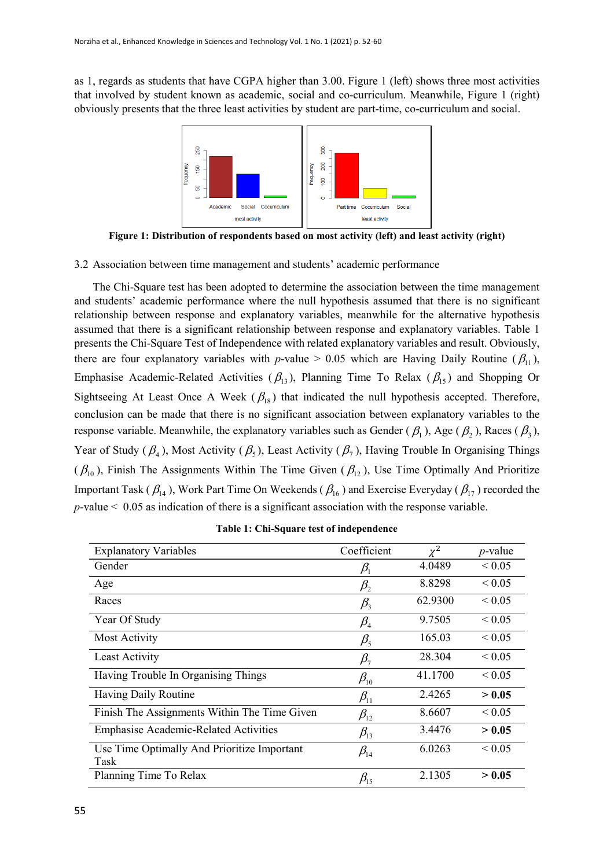as 1, regards as students that have CGPA higher than 3.00. Figure 1 (left) shows three most activities that involved by student known as academic, social and co-curriculum. Meanwhile, Figure 1 (right) obviously presents that the three least activities by student are part-time, co-curriculum and social.



**Figure 1: Distribution of respondents based on most activity (left) and least activity (right)**

3.2 Association between time management and students' academic performance

The Chi-Square test has been adopted to determine the association between the time management and students' academic performance where the null hypothesis assumed that there is no significant relationship between response and explanatory variables, meanwhile for the alternative hypothesis assumed that there is a significant relationship between response and explanatory variables. Table 1 presents the Chi-Square Test of Independence with related explanatory variables and result. Obviously, there are four explanatory variables with *p*-value > 0.05 which are Having Daily Routine ( $\beta_{11}$ ), Emphasise Academic-Related Activities ( $\beta_{13}$ ), Planning Time To Relax ( $\beta_{15}$ ) and Shopping Or Sightseeing At Least Once A Week ( $\beta_{18}$ ) that indicated the null hypothesis accepted. Therefore, conclusion can be made that there is no significant association between explanatory variables to the response variable. Meanwhile, the explanatory variables such as Gender ( $\beta_1$ ), Age ( $\beta_2$ ), Races ( $\beta_3$ ), Year of Study ( $\beta_4$ ), Most Activity ( $\beta_5$ ), Least Activity ( $\beta_7$ ), Having Trouble In Organising Things  $(\beta_{10})$ , Finish The Assignments Within The Time Given  $(\beta_{12})$ , Use Time Optimally And Prioritize Important Task ( $\beta_{14}$ ), Work Part Time On Weekends ( $\beta_{16}$ ) and Exercise Everyday ( $\beta_{17}$ ) recorded the *p*-value < 0.05 as indication of there is a significant association with the response variable.

| <b>Explanatory Variables</b>                        | Coefficient                     |         | $p$ -value       |
|-----------------------------------------------------|---------------------------------|---------|------------------|
| Gender                                              | $\beta_1$                       | 4.0489  | ${}_{\leq 0.05}$ |
| Age                                                 | $\beta_{2}$                     | 8.8298  | ${}_{\leq 0.05}$ |
| Races                                               | $\beta_{3}$                     | 62.9300 | ${}_{\leq 0.05}$ |
| Year Of Study                                       | $\beta_{\scriptscriptstyle 4}$  | 9.7505  | ${}_{\leq 0.05}$ |
| Most Activity                                       | $\beta_{5}$                     | 165.03  | ${}_{\leq 0.05}$ |
| Least Activity                                      | $\beta_{\scriptscriptstyle 7}$  | 28.304  | ${}_{\leq 0.05}$ |
| Having Trouble In Organising Things                 | $\beta_{\scriptscriptstyle 10}$ | 41.1700 | ${}_{\leq 0.05}$ |
| Having Daily Routine                                | $\beta_{11}$                    | 2.4265  | > 0.05           |
| Finish The Assignments Within The Time Given        | $\beta_{12}$                    | 8.6607  | ${}_{\leq 0.05}$ |
| <b>Emphasise Academic-Related Activities</b>        | $\beta_{13}$                    | 3.4476  | > 0.05           |
| Use Time Optimally And Prioritize Important<br>Task | $\beta_{14}$                    | 6.0263  | ${}_{\leq 0.05}$ |
| Planning Time To Relax                              | $\beta_{15}$                    | 2.1305  | > 0.05           |

**Table 1: Chi-Square test of independence**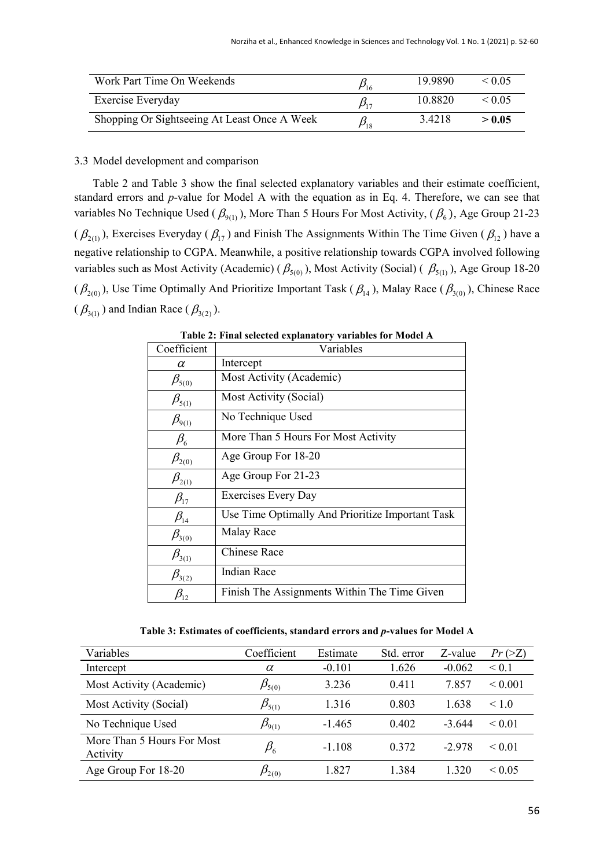| Work Part Time On Weekends                   | $\rho_{16}^{}$   | 19.9890 | $\leq 0.05$ |
|----------------------------------------------|------------------|---------|-------------|
| Exercise Everyday                            | $\beta_{17}$     | 10.8820 | $\leq 0.05$ |
| Shopping Or Sightseeing At Least Once A Week | $\beta_{\rm 18}$ | 3.4218  | > 0.05      |

#### 3.3 Model development and comparison

Table 2 and Table 3 show the final selected explanatory variables and their estimate coefficient, standard errors and *p*-value for Model A with the equation as in Eq. 4. Therefore, we can see that variables No Technique Used ( $\beta_{9(1)}$ ), More Than 5 Hours For Most Activity, ( $\beta_6$ ), Age Group 21-23  $(\beta_{2(1)})$ , Exercises Everyday ( $\beta_{17}$ ) and Finish The Assignments Within The Time Given ( $\beta_{12}$ ) have a negative relationship to CGPA. Meanwhile, a positive relationship towards CGPA involved following variables such as Most Activity (Academic) ( $\beta_{5(0)}$ ), Most Activity (Social) ( $\beta_{5(1)}$ ), Age Group 18-20  $(\beta_{2(0)})$ , Use Time Optimally And Prioritize Important Task  $(\beta_{14})$ , Malay Race  $(\beta_{3(0)})$ , Chinese Race  $(\beta_{3(1)})$  and Indian Race  $(\beta_{3(2)})$ .

| Coefficient                    | Variables                                        |
|--------------------------------|--------------------------------------------------|
| α                              | Intercept                                        |
| $\beta_{5(0)}$                 | Most Activity (Academic)                         |
| $\beta_{5(1)}$                 | Most Activity (Social)                           |
| $\beta_{9(1)}$                 | No Technique Used                                |
| $\beta_{\scriptscriptstyle 6}$ | More Than 5 Hours For Most Activity              |
| $\beta_{2(0)}$                 | Age Group For 18-20                              |
| $\beta_{2(1)}$                 | Age Group For 21-23                              |
| $\beta_{17}$                   | <b>Exercises Every Day</b>                       |
| $\beta_{14}$                   | Use Time Optimally And Prioritize Important Task |
| $\beta_{3(0)}$                 | Malay Race                                       |
| $\beta_{3(1)}$                 | <b>Chinese Race</b>                              |
| $\beta_{3(2)}$                 | <b>Indian Race</b>                               |
| $\beta_{12}$                   | Finish The Assignments Within The Time Given     |

**Table 2: Final selected explanatory variables for Model A**

**Table 3: Estimates of coefficients, standard errors and** *p***-values for Model A**

| Variables                              | Coefficient                       | Estimate | Std. error | Z-value  | $Pr \left( \geq Z \right)$ |
|----------------------------------------|-----------------------------------|----------|------------|----------|----------------------------|
| Intercept                              | $\alpha$                          | $-0.101$ | 1.626      | $-0.062$ | $\leq 0.1$                 |
| Most Activity (Academic)               | $\beta_{\scriptscriptstyle 5(0)}$ | 3.236    | 0.411      | 7.857    | ${}_{0.001}$               |
| Most Activity (Social)                 | $\beta_{5(1)}$                    | 1.316    | 0.803      | 1.638    | ~1.0                       |
| No Technique Used                      | $\beta_{9(1)}$                    | $-1.465$ | 0.402      | $-3.644$ | ${}_{0.01}$                |
| More Than 5 Hours For Most<br>Activity | $\beta_{\scriptscriptstyle 6}$    | $-1.108$ | 0.372      | $-2.978$ | ${}_{0.01}$                |
| Age Group For 18-20                    | $\mathcal{D}_{2(0)}$              | 1.827    | 1.384      | 1.320    | ${}_{0.05}$                |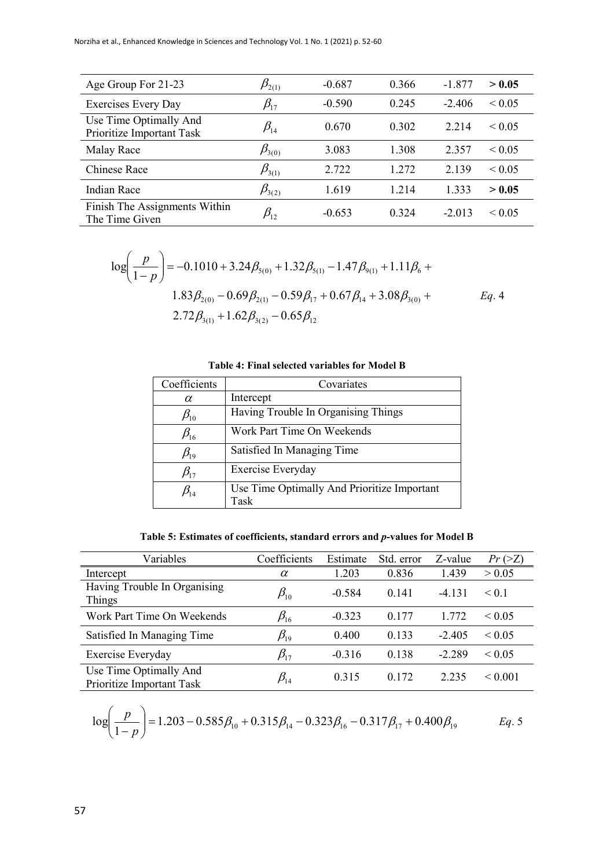| Age Group For 21-23                                 | $\beta_{\scriptscriptstyle 2(1)}$ | $-0.687$ | 0.366 | $-1.877$<br>> 0.05           |
|-----------------------------------------------------|-----------------------------------|----------|-------|------------------------------|
| <b>Exercises Every Day</b>                          | $\beta_{\scriptscriptstyle{17}}$  | $-0.590$ | 0.245 | $-2.406$<br>${}_{\leq 0.05}$ |
| Use Time Optimally And<br>Prioritize Important Task | $\beta_{\scriptscriptstyle{14}}$  | 0.670    | 0.302 | 2.214<br>${}_{\leq 0.05}$    |
| Malay Race                                          | $\beta_{3(0)}$                    | 3.083    | 1.308 | 2.357<br>${}_{\leq 0.05}$    |
| <b>Chinese Race</b>                                 | $\beta_{3(1)}$                    | 2.722    | 1.272 | 2.139<br>${}_{\leq 0.05}$    |
| Indian Race                                         | $\beta_{3(2)}$                    | 1.619    | 1.214 | 1.333<br>> 0.05              |
| Finish The Assignments Within<br>The Time Given     | $\beta_{\scriptscriptstyle{12}}$  | $-0.653$ | 0.324 | $-2.013$<br>${}_{0.05}$      |

$$
\log\left(\frac{p}{1-p}\right) = -0.1010 + 3.24\beta_{5(0)} + 1.32\beta_{5(1)} - 1.47\beta_{9(1)} + 1.11\beta_6 + 1.83\beta_{2(0)} - 0.69\beta_{2(1)} - 0.59\beta_{17} + 0.67\beta_{14} + 3.08\beta_{3(0)} + \frac{2.72\beta_{3(1)} + 1.62\beta_{3(2)} - 0.65\beta_{12}}{}
$$

**Table 4: Final selected variables for Model B**

| Coefficients                     | Covariates                                          |
|----------------------------------|-----------------------------------------------------|
| α                                | Intercept                                           |
| $\beta_{\scriptscriptstyle 10}$  | Having Trouble In Organising Things                 |
| $\beta_{16}$                     | Work Part Time On Weekends                          |
| $\beta_{19}$                     | Satisfied In Managing Time                          |
| $\beta_{\scriptscriptstyle{17}}$ | Exercise Everyday                                   |
| $\beta_{\scriptscriptstyle{14}}$ | Use Time Optimally And Prioritize Important<br>Task |

**Table 5: Estimates of coefficients, standard errors and** *p***-values for Model B**

| Variables                                           | Coefficients                     | Estimate | Std. error | Z-value  | Pr(>Z)           |
|-----------------------------------------------------|----------------------------------|----------|------------|----------|------------------|
| Intercept                                           | $\alpha$                         | 1.203    | 0.836      | 1.439    | > 0.05           |
| Having Trouble In Organising<br>Things              | $\beta_{\scriptscriptstyle 10}$  | $-0.584$ | 0.141      | $-4.131$ | < 0.1            |
| Work Part Time On Weekends                          | $\beta_{\scriptscriptstyle 16}$  | $-0.323$ | 0.177      | 1.772    | ${}_{\leq 0.05}$ |
| Satisfied In Managing Time                          | $\beta_{\scriptscriptstyle{19}}$ | 0.400    | 0.133      | $-2.405$ | ${}_{0.05}$      |
| Exercise Everyday                                   | $\beta_{\scriptscriptstyle{17}}$ | $-0.316$ | 0.138      | $-2.289$ | ${}_{0.05}$      |
| Use Time Optimally And<br>Prioritize Important Task | $\beta_{\scriptscriptstyle{14}}$ | 0.315    | 0.172      | 2.235    | ${}_{0.001}$     |

$$
\log\left(\frac{p}{1-p}\right) = 1.203 - 0.585\beta_{10} + 0.315\beta_{14} - 0.323\beta_{16} - 0.317\beta_{17} + 0.400\beta_{19}
$$
 *Eq. 5*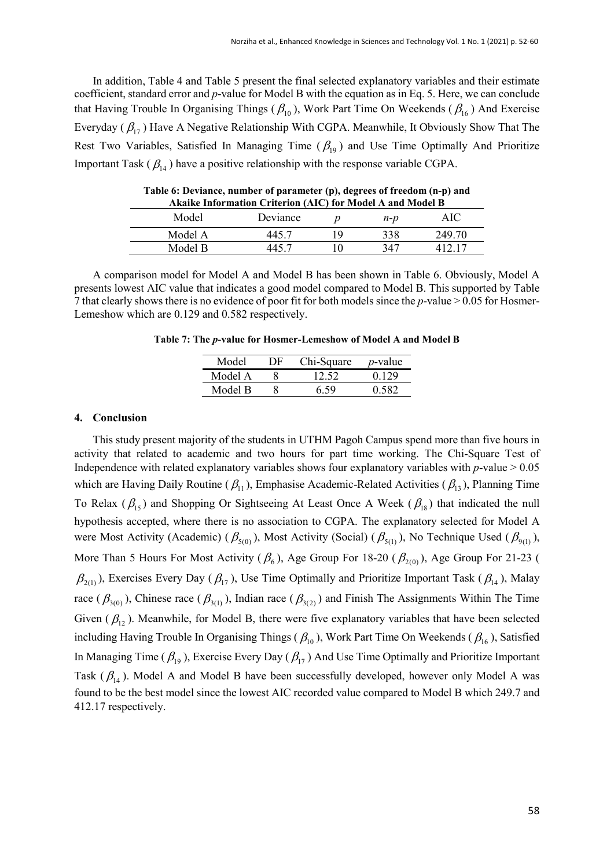In addition, Table 4 and Table 5 present the final selected explanatory variables and their estimate coefficient, standard error and *p*-value for Model B with the equation as in Eq. 5. Here, we can conclude that Having Trouble In Organising Things ( $\beta_{10}$ ), Work Part Time On Weekends ( $\beta_{16}$ ) And Exercise Everyday ( $\beta_{17}$ ) Have A Negative Relationship With CGPA. Meanwhile, It Obviously Show That The Rest Two Variables, Satisfied In Managing Time ( $\beta_{19}$ ) and Use Time Optimally And Prioritize Important Task ( $\beta_{14}$ ) have a positive relationship with the response variable CGPA.

| Akaike Information Criterion (AIC) for Model A and Model B |            |     |      |        |  |
|------------------------------------------------------------|------------|-----|------|--------|--|
| Model                                                      | Deviance   |     | n-p  | AIC:   |  |
| Model A                                                    | $-445$ $-$ | l Q | 338. | 249.70 |  |
| Model B                                                    |            |     | 347  |        |  |

**Table 6: Deviance, number of parameter (p), degrees of freedom (n-p) and Akaike Information Criterion (AIC) for Model A and Model B**

A comparison model for Model A and Model B has been shown in Table 6. Obviously, Model A presents lowest AIC value that indicates a good model compared to Model B. This supported by Table 7 that clearly shows there is no evidence of poor fit for both models since the *p*-value > 0.05 for Hosmer-Lemeshow which are 0.129 and 0.582 respectively.

**Table 7: The** *p***-value for Hosmer-Lemeshow of Model A and Model B**

| Model   | DE | Chi-Square | <i>p</i> -value |
|---------|----|------------|-----------------|
| Model A |    |            | በ 129           |
| Model R |    | 6.59       |                 |

#### **4. Conclusion**

This study present majority of the students in UTHM Pagoh Campus spend more than five hours in activity that related to academic and two hours for part time working. The Chi-Square Test of Independence with related explanatory variables shows four explanatory variables with  $p$ -value  $> 0.05$ which are Having Daily Routine ( $\beta_{11}$ ), Emphasise Academic-Related Activities ( $\beta_{13}$ ), Planning Time To Relax ( $\beta_{15}$ ) and Shopping Or Sightseeing At Least Once A Week ( $\beta_{18}$ ) that indicated the null hypothesis accepted, where there is no association to CGPA. The explanatory selected for Model A were Most Activity (Academic) ( $\beta_{5(0)}$ ), Most Activity (Social) ( $\beta_{5(1)}$ ), No Technique Used ( $\beta_{9(1)}$ ), More Than 5 Hours For Most Activity ( $\beta_6$ ), Age Group For 18-20 ( $\beta_{2(0)}$ ), Age Group For 21-23 (  $\beta_{2(1)}$ ), Exercises Every Day ( $\beta_{17}$ ), Use Time Optimally and Prioritize Important Task ( $\beta_{14}$ ), Malay race ( $\beta_{3(0)}$ ), Chinese race ( $\beta_{3(1)}$ ), Indian race ( $\beta_{3(2)}$ ) and Finish The Assignments Within The Time Given ( $\beta_{12}$ ). Meanwhile, for Model B, there were five explanatory variables that have been selected including Having Trouble In Organising Things ( $\beta_{10}$ ), Work Part Time On Weekends ( $\beta_{16}$ ), Satisfied In Managing Time ( $\beta_{19}$ ), Exercise Every Day ( $\beta_{17}$ ) And Use Time Optimally and Prioritize Important Task ( $\beta_{14}$ ). Model A and Model B have been successfully developed, however only Model A was found to be the best model since the lowest AIC recorded value compared to Model B which 249.7 and 412.17 respectively.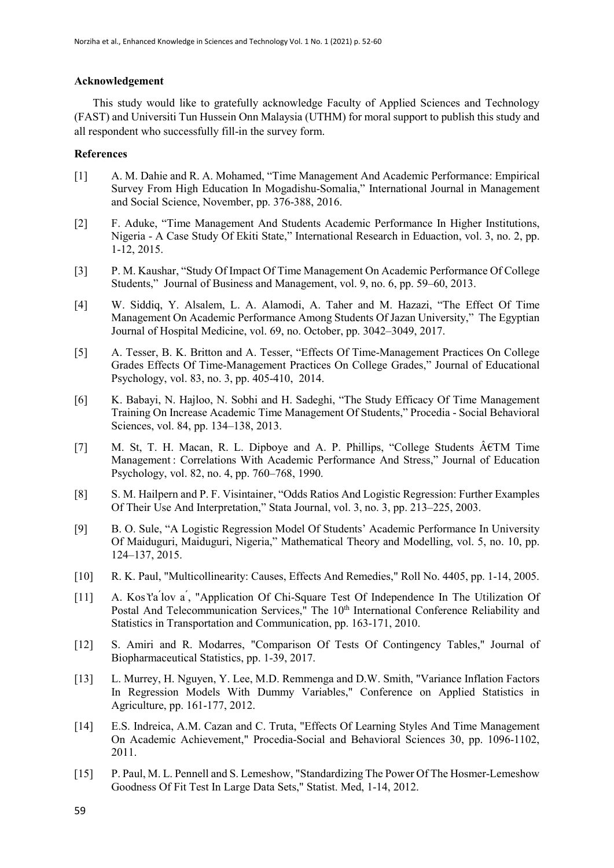### **Acknowledgement**

This study would like to gratefully acknowledge Faculty of Applied Sciences and Technology (FAST) and Universiti Tun Hussein Onn Malaysia (UTHM) for moral support to publish this study and all respondent who successfully fill-in the survey form.

## **References**

- [1] A. M. Dahie and R. A. Mohamed, "Time Management And Academic Performance: Empirical Survey From High Education In Mogadishu-Somalia," International Journal in Management and Social Science, November, pp. 376-388, 2016.
- [2] F. Aduke, "Time Management And Students Academic Performance In Higher Institutions, Nigeria - A Case Study Of Ekiti State," International Research in Eduaction, vol. 3, no. 2, pp. 1-12, 2015.
- [3] P. M. Kaushar, "Study Of Impact Of Time Management On Academic Performance Of College Students," Journal of Business and Management, vol. 9, no. 6, pp. 59–60, 2013.
- [4] W. Siddiq, Y. Alsalem, L. A. Alamodi, A. Taher and M. Hazazi, "The Effect Of Time Management On Academic Performance Among Students Of Jazan University," The Egyptian Journal of Hospital Medicine, vol. 69, no. October, pp. 3042–3049, 2017.
- [5] A. Tesser, B. K. Britton and A. Tesser, "Effects Of Time-Management Practices On College Grades Effects Of Time-Management Practices On College Grades," Journal of Educational Psychology, vol. 83, no. 3, pp. 405-410, 2014.
- [6] K. Babayi, N. Hajloo, N. Sobhi and H. Sadeghi, "The Study Efficacy Of Time Management Training On Increase Academic Time Management Of Students," Procedia - Social Behavioral Sciences, vol. 84, pp. 134–138, 2013.
- [7] M. St, T. H. Macan, R. L. Dipboye and A. P. Phillips, "College Students  $\hat{A}$  ETM Time Management : Correlations With Academic Performance And Stress," Journal of Education Psychology, vol. 82, no. 4, pp. 760–768, 1990.
- [8] S. M. Hailpern and P. F. Visintainer, "Odds Ratios And Logistic Regression: Further Examples Of Their Use And Interpretation," Stata Journal, vol. 3, no. 3, pp. 213–225, 2003.
- [9] B. O. Sule, "A Logistic Regression Model Of Students' Academic Performance In University Of Maiduguri, Maiduguri, Nigeria," Mathematical Theory and Modelling, vol. 5, no. 10, pp. 124–137, 2015.
- [10] R. K. Paul, "Multicollinearity: Causes, Effects And Remedies," Roll No. 4405, pp. 1-14, 2005.
- [11] A. Kos t'a lov a, "Application Of Chi-Square Test Of Independence In The Utilization Of Postal And Telecommunication Services," The 10<sup>th</sup> International Conference Reliability and Statistics in Transportation and Communication, pp. 163-171, 2010.
- [12] S. Amiri and R. Modarres, "Comparison Of Tests Of Contingency Tables," Journal of Biopharmaceutical Statistics, pp. 1-39, 2017.
- [13] L. Murrey, H. Nguyen, Y. Lee, M.D. Remmenga and D.W. Smith, "Variance Inflation Factors In Regression Models With Dummy Variables," Conference on Applied Statistics in Agriculture, pp. 161-177, 2012.
- [14] E.S. Indreica, A.M. Cazan and C. Truta, "Effects Of Learning Styles And Time Management On Academic Achievement," Procedia-Social and Behavioral Sciences 30, pp. 1096-1102, 2011.
- [15] P. Paul, M. L. Pennell and S. Lemeshow, "Standardizing The Power Of The Hosmer-Lemeshow Goodness Of Fit Test In Large Data Sets," Statist. Med, 1-14, 2012.